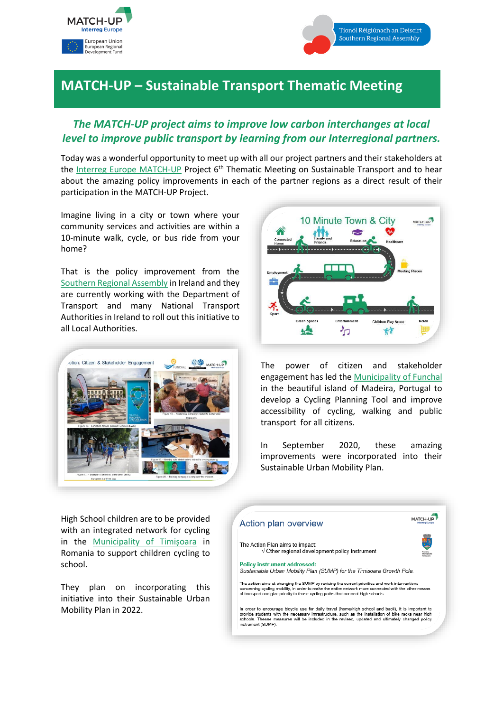



## **MATCH-UP – Sustainable Transport Thematic Meeting**

## *The MATCH-UP project aims to improve low carbon interchanges at local level to improve public transport by learning from our Interregional partners.*

Today was a wonderful opportunity to meet up with all our project partners and their stakeholders at the [Interreg Europe MATCH-UP](https://www.interregeurope.eu/match-up/) Project 6<sup>th</sup> Thematic Meeting on Sustainable Transport and to hear about the amazing policy improvements in each of the partner regions as a direct result of their participation in the MATCH-UP Project.

Imagine living in a city or town where your community services and activities are within a 10-minute walk, cycle, or bus ride from your home?

That is the policy improvement from the [Southern Regional Assembly](https://www.southernassembly.ie/) in Ireland and they are currently working with the Department of Transport and many National Transport Authorities in Ireland to roll out this initiative to all Local Authorities.





The power of citizen and stakeholder engagement has led the [Municipality of Funchal](https://www.cm-funchal.pt/en/) in the beautiful island of Madeira, Portugal to develop a Cycling Planning Tool and improve accessibility of cycling, walking and public transport for all citizens.

In September 2020, these amazing improvements were incorporated into their Sustainable Urban Mobility Plan.

High School children are to be provided with an integrated network for cycling in the [Municipality of Timi](https://www.primariatm.ro/)șoara in Romania to support children cycling to school.

They plan on incorporating this initiative into their Sustainable Urban Mobility Plan in 2022.